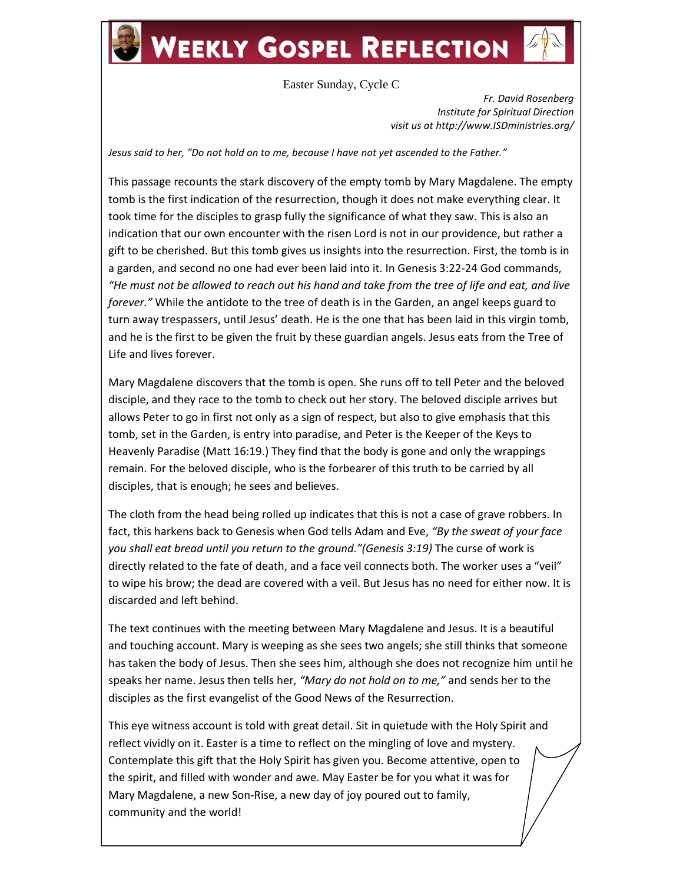## **WEEKLY GOSPEL REFLECTION**

## Easter Sunday, Cycle C

*Fr. David Rosenberg Institute for Spiritual Direction visit us at http://www.ISDministries.org/*

*Jesus said to her, "Do not hold on to me, because I have not yet ascended to the Father."*

This passage recounts the stark discovery of the empty tomb by Mary Magdalene. The empty tomb is the first indication of the resurrection, though it does not make everything clear. It took time for the disciples to grasp fully the significance of what they saw. This is also an indication that our own encounter with the risen Lord is not in our providence, but rather a gift to be cherished. But this tomb gives us insights into the resurrection. First, the tomb is in a garden, and second no one had ever been laid into it. In Genesis 3:22-24 God commands, *"He must not be allowed to reach out his hand and take from the tree of life and eat, and live forever."* While the antidote to the tree of death is in the Garden, an angel keeps guard to turn away trespassers, until Jesus' death. He is the one that has been laid in this virgin tomb, and he is the first to be given the fruit by these guardian angels. Jesus eats from the Tree of Life and lives forever.

Mary Magdalene discovers that the tomb is open. She runs off to tell Peter and the beloved disciple, and they race to the tomb to check out her story. The beloved disciple arrives but allows Peter to go in first not only as a sign of respect, but also to give emphasis that this tomb, set in the Garden, is entry into paradise, and Peter is the Keeper of the Keys to Heavenly Paradise (Matt 16:19.) They find that the body is gone and only the wrappings remain. For the beloved disciple, who is the forbearer of this truth to be carried by all disciples, that is enough; he sees and believes.

The cloth from the head being rolled up indicates that this is not a case of grave robbers. In fact, this harkens back to Genesis when God tells Adam and Eve, *"By the sweat of your face you shall eat bread until you return to the ground."(Genesis 3:19)* The curse of work is directly related to the fate of death, and a face veil connects both. The worker uses a "veil" to wipe his brow; the dead are covered with a veil. But Jesus has no need for either now. It is discarded and left behind.

The text continues with the meeting between Mary Magdalene and Jesus. It is a beautiful and touching account. Mary is weeping as she sees two angels; she still thinks that someone has taken the body of Jesus. Then she sees him, although she does not recognize him until he speaks her name. Jesus then tells her, *"Mary do not hold on to me,"* and sends her to the disciples as the first evangelist of the Good News of the Resurrection.

This eye witness account is told with great detail. Sit in quietude with the Holy Spirit and reflect vividly on it. Easter is a time to reflect on the mingling of love and mystery. Contemplate this gift that the Holy Spirit has given you. Become attentive, open to the spirit, and filled with wonder and awe. May Easter be for you what it was for Mary Magdalene, a new Son-Rise, a new day of joy poured out to family, community and the world!